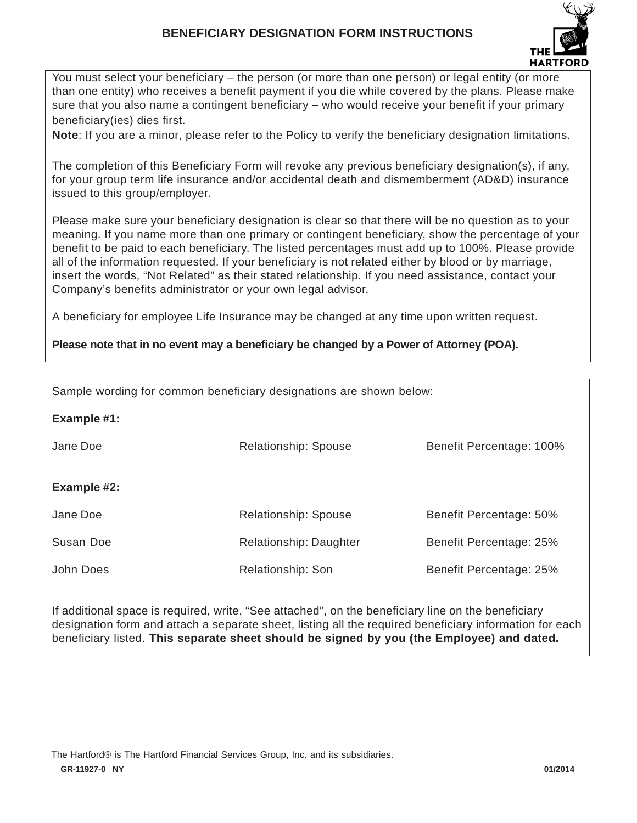## **BENEFICIARY DESIGNATION FORM INSTRUCTIONS**



You must select your beneficiary – the person (or more than one person) or legal entity (or more than one entity) who receives a benefit payment if you die while covered by the plans. Please make sure that you also name a contingent beneficiary – who would receive your benefit if your primary beneficiary(ies) dies first.

**Note**: If you are a minor, please refer to the Policy to verify the beneficiary designation limitations.

The completion of this Beneficiary Form will revoke any previous beneficiary designation(s), if any, for your group term life insurance and/or accidental death and dismemberment (AD&D) insurance issued to this group/employer.

Please make sure your beneficiary designation is clear so that there will be no question as to your meaning. If you name more than one primary or contingent beneficiary, show the percentage of your benefit to be paid to each beneficiary. The listed percentages must add up to 100%. Please provide all of the information requested. If your beneficiary is not related either by blood or by marriage, insert the words, "Not Related" as their stated relationship. If you need assistance, contact your Company's benefits administrator or your own legal advisor.

A beneficiary for employee Life Insurance may be changed at any time upon written request.

### **Please note that in no event may a beneficiary be changed by a Power of Attorney (POA).**

| Sample wording for common beneficiary designations are shown below: |                             |                          |  |  |  |
|---------------------------------------------------------------------|-----------------------------|--------------------------|--|--|--|
| Example #1:                                                         |                             |                          |  |  |  |
| Jane Doe                                                            | Relationship: Spouse        | Benefit Percentage: 100% |  |  |  |
|                                                                     |                             |                          |  |  |  |
| Example #2:                                                         |                             |                          |  |  |  |
| Jane Doe                                                            | <b>Relationship: Spouse</b> | Benefit Percentage: 50%  |  |  |  |
| Susan Doe                                                           | Relationship: Daughter      | Benefit Percentage: 25%  |  |  |  |
| John Does                                                           | Relationship: Son           | Benefit Percentage: 25%  |  |  |  |

If additional space is required, write, "See attached", on the beneficiary line on the beneficiary designation form and attach a separate sheet, listing all the required beneficiary information for each beneficiary listed. **This separate sheet should be signed by you (the Employee) and dated.**

**GR-11927-0 NY 01/2014** The Hartford® is The Hartford Financial Services Group, Inc. and its subsidiaries.